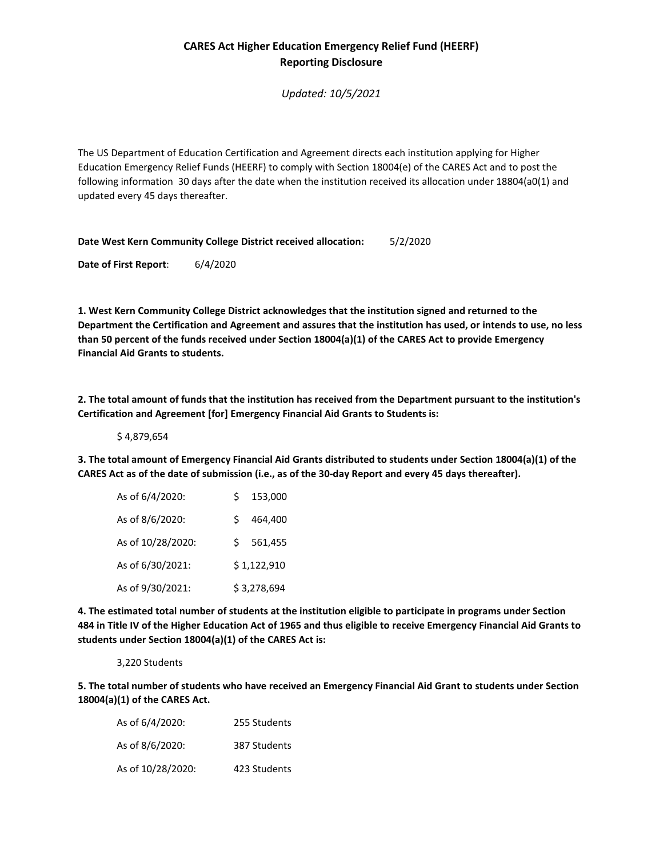## **CARES Act Higher Education Emergency Relief Fund (HEERF) Reporting Disclosure**

*Updated: 10/5/2021*

The US Department of Education Certification and Agreement directs each institution applying for Higher Education Emergency Relief Funds (HEERF) to comply with Section 18004(e) of the CARES Act and to post the following information 30 days after the date when the institution received its allocation under 18804(a0(1) and updated every 45 days thereafter.

**Date West Kern Community College District received allocation:** 5/2/2020

**Date of First Report**: 6/4/2020

**1. West Kern Community College District acknowledges that the institution signed and returned to the Department the Certification and Agreement and assures that the institution has used, or intends to use, no less than 50 percent of the funds received under Section 18004(a)(1) of the CARES Act to provide Emergency Financial Aid Grants to students.**

**2. The total amount of funds that the institution has received from the Department pursuant to the institution's Certification and Agreement [for] Emergency Financial Aid Grants to Students is:** 

\$ 4,879,654

**3. The total amount of Emergency Financial Aid Grants distributed to students under Section 18004(a)(1) of the CARES Act as of the date of submission (i.e., as of the 30-day Report and every 45 days thereafter).**

| As of 6/4/2020:   | Ś.          | 153,000     |
|-------------------|-------------|-------------|
| As of 8/6/2020:   | Ś.          | 464,400     |
| As of 10/28/2020: | S.          | 561,455     |
| As of 6/30/2021:  |             | \$1,122,910 |
| As of 9/30/2021:  | \$3,278,694 |             |

**4. The estimated total number of students at the institution eligible to participate in programs under Section 484 in Title IV of the Higher Education Act of 1965 and thus eligible to receive Emergency Financial Aid Grants to students under Section 18004(a)(1) of the CARES Act is:**

3,220 Students

**5. The total number of students who have received an Emergency Financial Aid Grant to students under Section 18004(a)(1) of the CARES Act.**

| As of 6/4/2020:   | 255 Students |
|-------------------|--------------|
| As of 8/6/2020:   | 387 Students |
| As of 10/28/2020: | 423 Students |